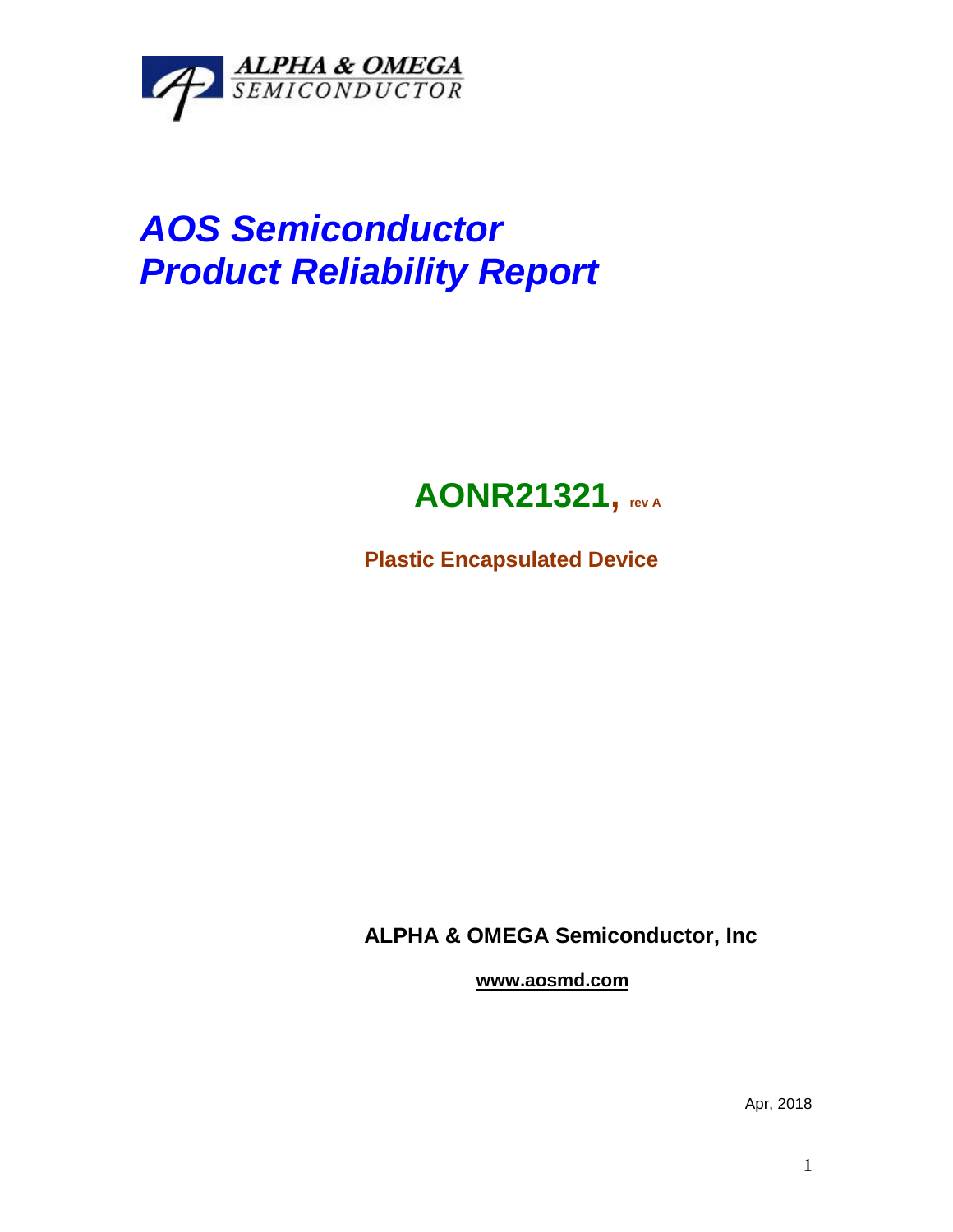

# *AOS Semiconductor Product Reliability Report*

## **AONR21321, rev <sup>A</sup>**

**Plastic Encapsulated Device**

**ALPHA & OMEGA Semiconductor, Inc**

**www.aosmd.com**

Apr, 2018